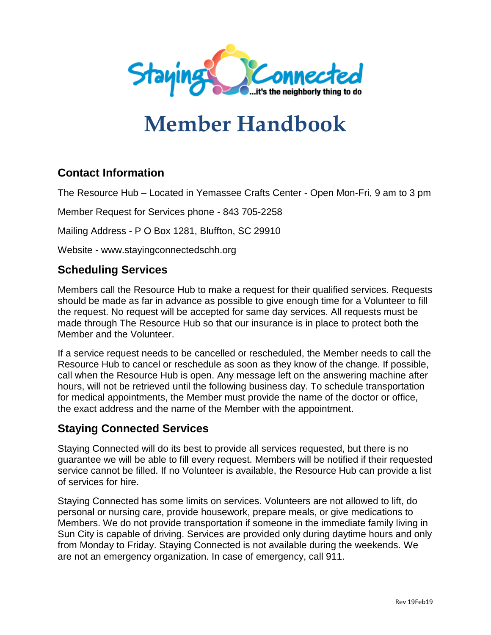

# **Member Handbook**

# **Contact Information**

The Resource Hub – Located in Yemassee Crafts Center - Open Mon-Fri, 9 am to 3 pm

Member Request for Services phone - 843 705-2258

Mailing Address - P O Box 1281, Bluffton, SC 29910

Website - www.stayingconnectedschh.org

## **Scheduling Services**

Members call the Resource Hub to make a request for their qualified services. Requests should be made as far in advance as possible to give enough time for a Volunteer to fill the request. No request will be accepted for same day services. All requests must be made through The Resource Hub so that our insurance is in place to protect both the Member and the Volunteer.

If a service request needs to be cancelled or rescheduled, the Member needs to call the Resource Hub to cancel or reschedule as soon as they know of the change. If possible, call when the Resource Hub is open. Any message left on the answering machine after hours, will not be retrieved until the following business day. To schedule transportation for medical appointments, the Member must provide the name of the doctor or office, the exact address and the name of the Member with the appointment.

## **Staying Connected Services**

Staying Connected will do its best to provide all services requested, but there is no guarantee we will be able to fill every request. Members will be notified if their requested service cannot be filled. If no Volunteer is available, the Resource Hub can provide a list of services for hire.

Staying Connected has some limits on services. Volunteers are not allowed to lift, do personal or nursing care, provide housework, prepare meals, or give medications to Members. We do not provide transportation if someone in the immediate family living in Sun City is capable of driving. Services are provided only during daytime hours and only from Monday to Friday. Staying Connected is not available during the weekends. We are not an emergency organization. In case of emergency, call 911.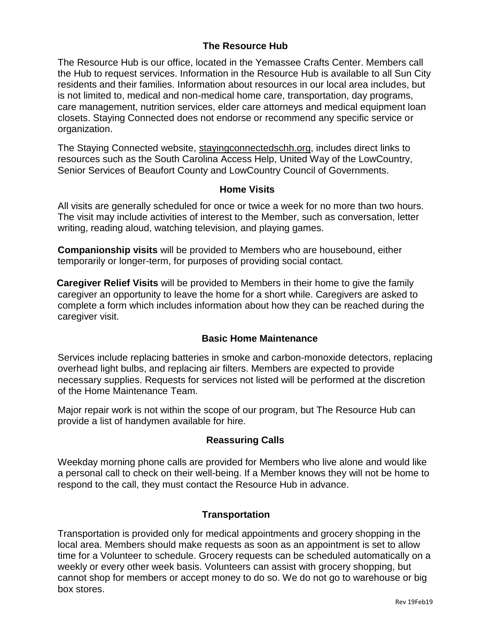#### **The Resource Hub**

The Resource Hub is our office, located in the Yemassee Crafts Center. Members call the Hub to request services. Information in the Resource Hub is available to all Sun City residents and their families. Information about resources in our local area includes, but is not limited to, medical and non-medical home care, transportation, day programs, care management, nutrition services, elder care attorneys and medical equipment loan closets. Staying Connected does not endorse or recommend any specific service or organization.

The Staying Connected website, stayingconnectedschh.org, includes direct links to resources such as the South Carolina Access Help, United Way of the LowCountry, Senior Services of Beaufort County and LowCountry Council of Governments.

#### **Home Visits**

All visits are generally scheduled for once or twice a week for no more than two hours. The visit may include activities of interest to the Member, such as conversation, letter writing, reading aloud, watching television, and playing games.

**Companionship visits** will be provided to Members who are housebound, either temporarily or longer-term, for purposes of providing social contact.

**Caregiver Relief Visits** will be provided to Members in their home to give the family caregiver an opportunity to leave the home for a short while. Caregivers are asked to complete a form which includes information about how they can be reached during the caregiver visit.

#### **Basic Home Maintenance**

Services include replacing batteries in smoke and carbon-monoxide detectors, replacing overhead light bulbs, and replacing air filters. Members are expected to provide necessary supplies. Requests for services not listed will be performed at the discretion of the Home Maintenance Team.

Major repair work is not within the scope of our program, but The Resource Hub can provide a list of handymen available for hire.

#### **Reassuring Calls**

Weekday morning phone calls are provided for Members who live alone and would like a personal call to check on their well-being. If a Member knows they will not be home to respond to the call, they must contact the Resource Hub in advance.

#### **Transportation**

Transportation is provided only for medical appointments and grocery shopping in the local area. Members should make requests as soon as an appointment is set to allow time for a Volunteer to schedule. Grocery requests can be scheduled automatically on a weekly or every other week basis. Volunteers can assist with grocery shopping, but cannot shop for members or accept money to do so. We do not go to warehouse or big box stores.